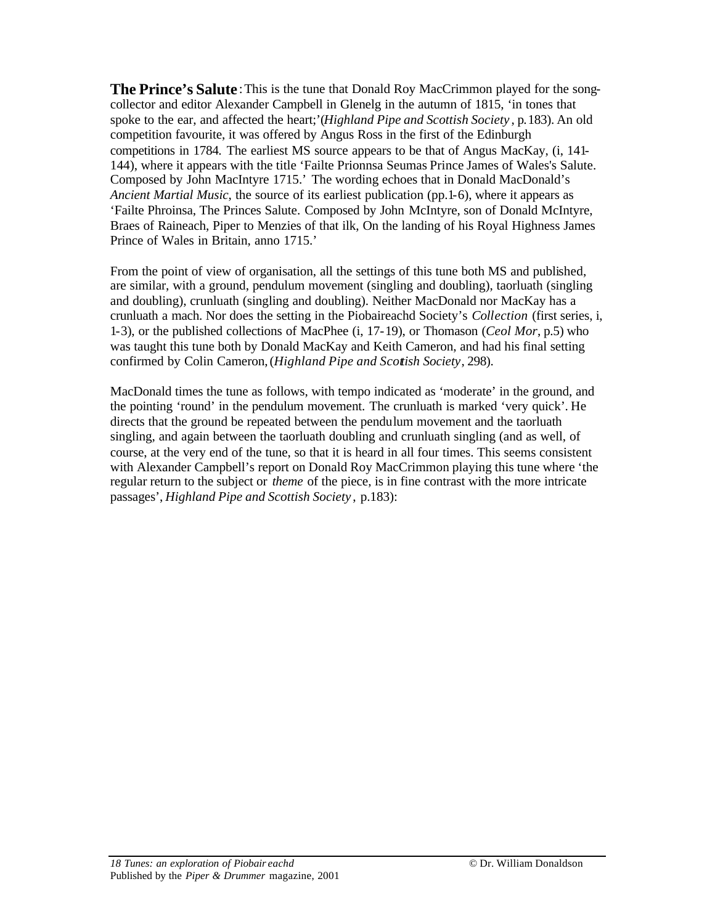**The Prince's Salute**:This is the tune that Donald Roy MacCrimmon played for the songcollector and editor Alexander Campbell in Glenelg in the autumn of 1815, 'in tones that spoke to the ear, and affected the heart;'(*Highland Pipe and Scottish Society* , p.183). An old competition favourite, it was offered by Angus Ross in the first of the Edinburgh competitions in 1784. The earliest MS source appears to be that of Angus MacKay, (i, 141- 144), where it appears with the title 'Failte Prionnsa Seumas Prince James of Wales's Salute. Composed by John MacIntyre 1715.' The wording echoes that in Donald MacDonald's *Ancient Martial Music*, the source of its earliest publication (pp.1-6), where it appears as 'Failte Phroinsa, The Princes Salute. Composed by John McIntyre, son of Donald McIntyre, Braes of Raineach, Piper to Menzies of that ilk, On the landing of his Royal Highness James Prince of Wales in Britain, anno 1715.'

From the point of view of organisation, all the settings of this tune both MS and published, are similar, with a ground, pendulum movement (singling and doubling), taorluath (singling and doubling), crunluath (singling and doubling). Neither MacDonald nor MacKay has a crunluath a mach. Nor does the setting in the Piobaireachd Society's *Collection* (first series, i, 1-3), or the published collections of MacPhee (i, 17-19), or Thomason (*Ceol Mor*, p.5) who was taught this tune both by Donald MacKay and Keith Cameron, and had his final setting confirmed by Colin Cameron,(*Highland Pipe and Scottish Society*, 298).

MacDonald times the tune as follows, with tempo indicated as 'moderate' in the ground, and the pointing 'round' in the pendulum movement. The crunluath is marked 'very quick'. He directs that the ground be repeated between the pendulum movement and the taorluath singling, and again between the taorluath doubling and crunluath singling (and as well, of course, at the very end of the tune, so that it is heard in all four times. This seems consistent with Alexander Campbell's report on Donald Roy MacCrimmon playing this tune where 'the regular return to the subject or *theme* of the piece, is in fine contrast with the more intricate passages', *Highland Pipe and Scottish Society* , p.183):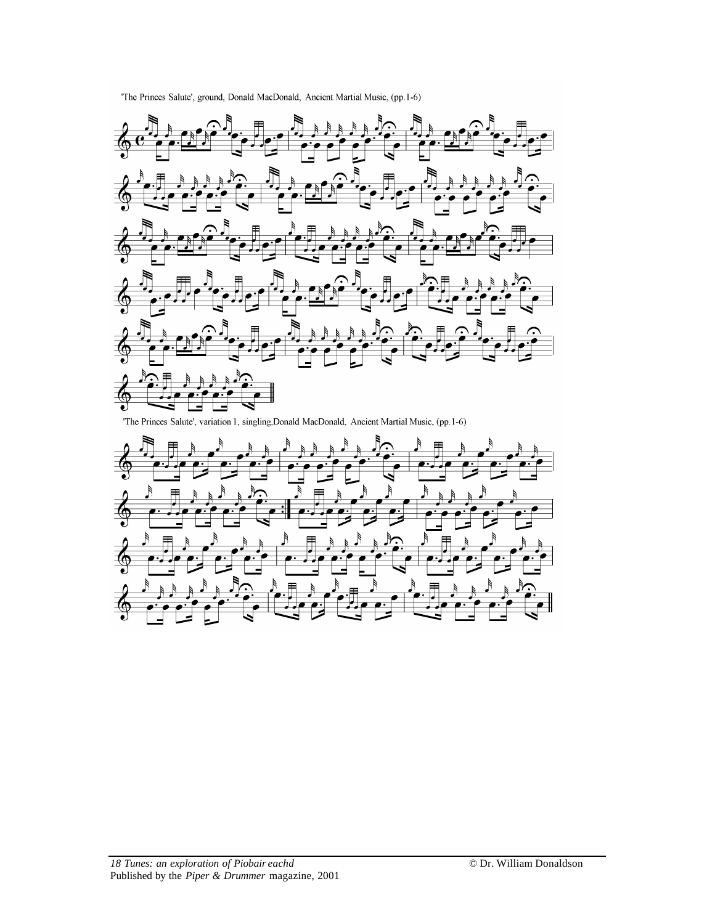



'The Princes Salute', variation 1, singling, Donald MacDonald, Ancient Martial Music, (pp. 1-6)

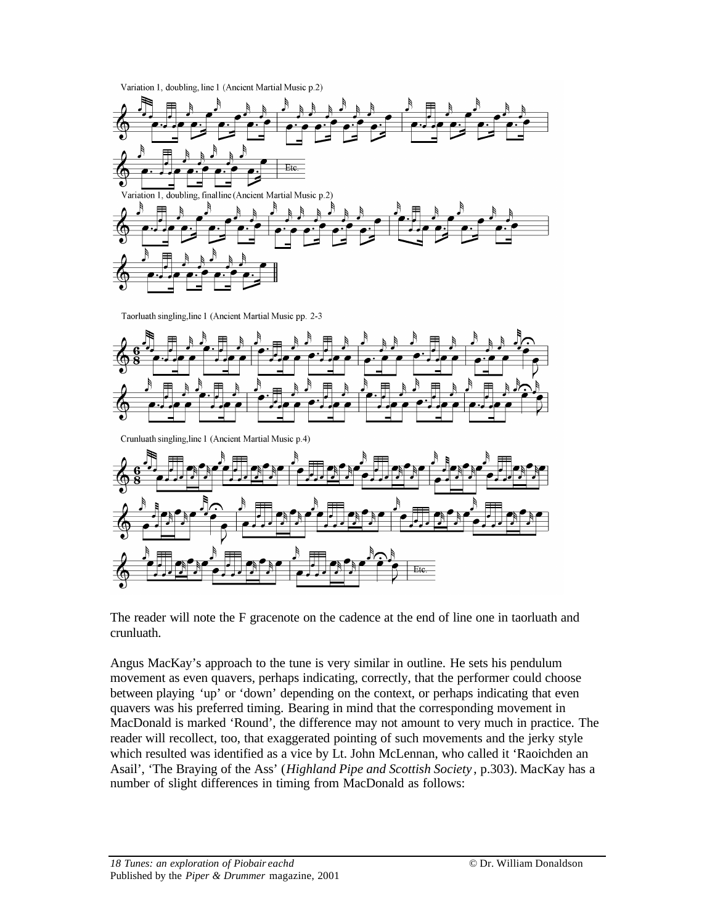Variation 1, doubling, line 1 (Ancient Martial Music p.2)



Taorluath singling, line 1 (Ancient Martial Music pp. 2-3



Crunluath singling, line 1 (Ancient Martial Music p.4)



The reader will note the F gracenote on the cadence at the end of line one in taorluath and crunluath.

Angus MacKay's approach to the tune is very similar in outline. He sets his pendulum movement as even quavers, perhaps indicating, correctly, that the performer could choose between playing 'up' or 'down' depending on the context, or perhaps indicating that even quavers was his preferred timing. Bearing in mind that the corresponding movement in MacDonald is marked 'Round', the difference may not amount to very much in practice. The reader will recollect, too, that exaggerated pointing of such movements and the jerky style which resulted was identified as a vice by Lt. John McLennan, who called it 'Raoichden an Asail', 'The Braying of the Ass' (*Highland Pipe and Scottish Society* , p.303). MacKay has a number of slight differences in timing from MacDonald as follows: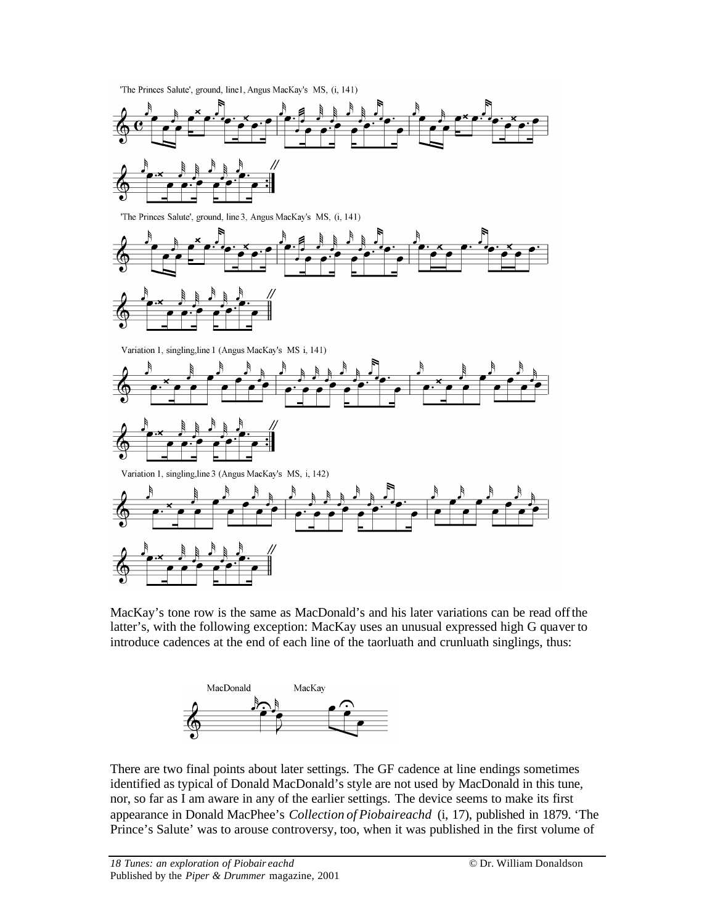'The Princes Salute', ground, line1, Angus MacKay's MS, (i, 141)



MacKay's tone row is the same as MacDonald's and his later variations can be read offthe latter's, with the following exception: MacKay uses an unusual expressed high G quaver to introduce cadences at the end of each line of the taorluath and crunluath singlings, thus:



There are two final points about later settings. The GF cadence at line endings sometimes identified as typical of Donald MacDonald's style are not used by MacDonald in this tune, nor, so far as I am aware in any of the earlier settings. The device seems to make its first appearance in Donald MacPhee's *Collection of Piobaireachd* (i, 17), published in 1879. 'The Prince's Salute' was to arouse controversy, too, when it was published in the first volume of